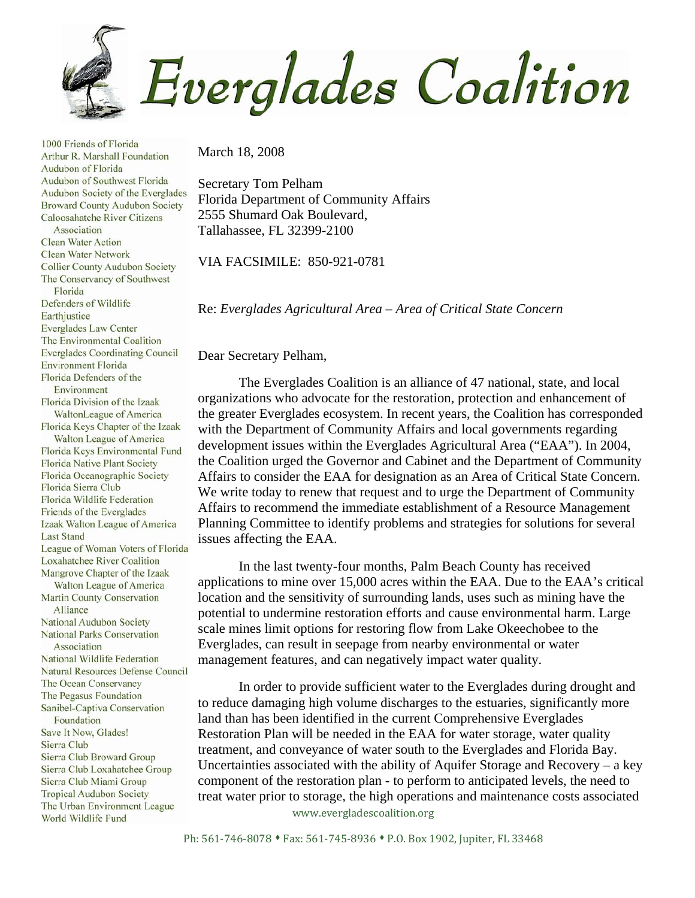

March 18, 2008

Secretary Tom Pelham Florida Department of Community Affairs 2555 Shumard Oak Boulevard, Tallahassee, FL 32399-2100

VIA FACSIMILE: 850-921-0781

Re: *Everglades Agricultural Area – Area of Critical State Concern* 

Dear Secretary Pelham,

The Everglades Coalition is an alliance of 47 national, state, and local organizations who advocate for the restoration, protection and enhancement of the greater Everglades ecosystem. In recent years, the Coalition has corresponded with the Department of Community Affairs and local governments regarding development issues within the Everglades Agricultural Area ("EAA"). In 2004, the Coalition urged the Governor and Cabinet and the Department of Community Affairs to consider the EAA for designation as an Area of Critical State Concern. We write today to renew that request and to urge the Department of Community Affairs to recommend the immediate establishment of a Resource Management Planning Committee to identify problems and strategies for solutions for several issues affecting the EAA.

In the last twenty-four months, Palm Beach County has received applications to mine over 15,000 acres within the EAA. Due to the EAA's critical location and the sensitivity of surrounding lands, uses such as mining have the potential to undermine restoration efforts and cause environmental harm. Large scale mines limit options for restoring flow from Lake Okeechobee to the Everglades, can result in seepage from nearby environmental or water management features, and can negatively impact water quality.

In order to provide sufficient water to the Everglades during drought and to reduce damaging high volume discharges to the estuaries, significantly more land than has been identified in the current Comprehensive Everglades Restoration Plan will be needed in the EAA for water storage, water quality treatment, and conveyance of water south to the Everglades and Florida Bay. Uncertainties associated with the ability of Aquifer Storage and Recovery – a key component of the restoration plan - to perform to anticipated levels, the need to treat water prior to storage, the high operations and maintenance costs associated

www.evergladescoalition.org

Arthur R. Marshall Foundation Audubon of Florida Audubon of Southwest Florida Audubon Society of the Everglades **Broward County Audubon Society** Caloosahatche River Citizens Association **Clean Water Action Clean Water Network Collier County Audubon Society** The Conservancy of Southwest Florida Defenders of Wildlife Earthjustice **Everglades Law Center** The Environmental Coalition **Everglades Coordinating Council Environment Florida** Florida Defenders of the Environment Florida Division of the Izaak WaltonLeague of America Florida Keys Chapter of the Izaak Walton League of America Florida Keys Environmental Fund **Florida Native Plant Society** Florida Oceanographic Society Florida Sierra Club **Florida Wildlife Federation** Friends of the Everglades Izaak Walton League of America **Last Stand** League of Woman Voters of Florida **Loxahatchee River Coalition** Mangrove Chapter of the Izaak Walton League of America Martin County Conservation Alliance National Audubon Society **National Parks Conservation** Association National Wildlife Federation Natural Resources Defense Council The Ocean Conservancy The Pegasus Foundation Sanibel-Captiva Conservation Foundation Save It Now, Glades! Sierra Club Sierra Club Broward Group Sierra Club Loxahatchee Group Sierra Club Miami Group **Tropical Audubon Society** The Urban Environment League World Wildlife Fund

1000 Friends of Florida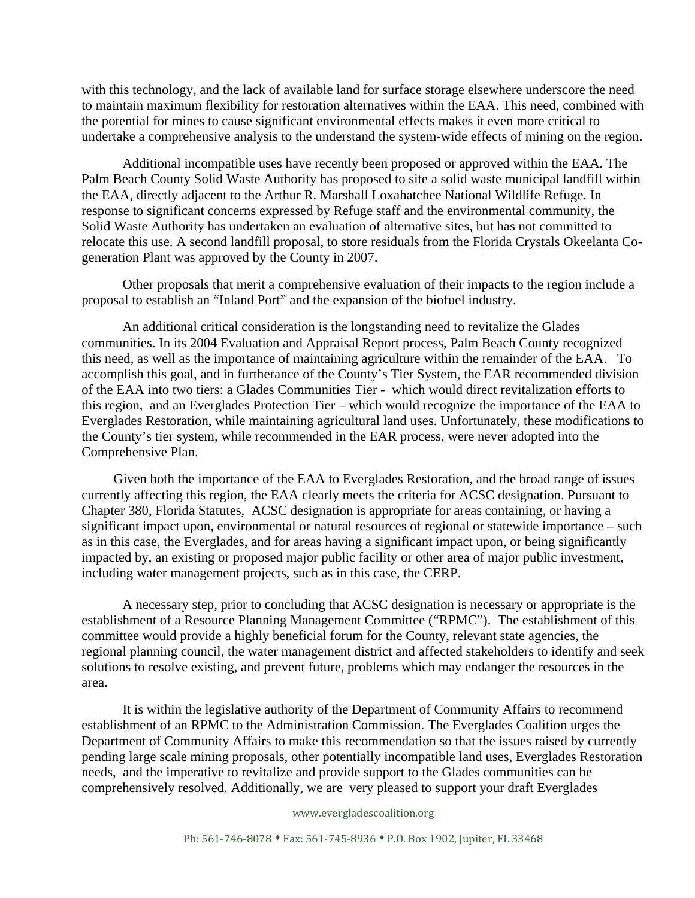with this technology, and the lack of available land for surface storage elsewhere underscore the need to maintain maximum flexibility for restoration alternatives within the EAA. This need, combined with the potential for mines to cause significant environmental effects makes it even more critical to undertake a comprehensive analysis to the understand the system-wide effects of mining on the region.

Additional incompatible uses have recently been proposed or approved within the EAA. The Palm Beach County Solid Waste Authority has proposed to site a solid waste municipal landfill within the EAA, directly adjacent to the Arthur R. Marshall Loxahatchee National Wildlife Refuge. In response to significant concerns expressed by Refuge staff and the environmental community, the Solid Waste Authority has undertaken an evaluation of alternative sites, but has not committed to relocate this use. A second landfill proposal, to store residuals from the Florida Crystals Okeelanta Cogeneration Plant was approved by the County in 2007.

Other proposals that merit a comprehensive evaluation of their impacts to the region include a proposal to establish an "Inland Port" and the expansion of the biofuel industry.

An additional critical consideration is the longstanding need to revitalize the Glades communities. In its 2004 Evaluation and Appraisal Report process, Palm Beach County recognized this need, as well as the importance of maintaining agriculture within the remainder of the EAA. To accomplish this goal, and in furtherance of the County's Tier System, the EAR recommended division of the EAA into two tiers: a Glades Communities Tier - which would direct revitalization efforts to this region, and an Everglades Protection Tier – which would recognize the importance of the EAA to Everglades Restoration, while maintaining agricultural land uses. Unfortunately, these modifications to the County's tier system, while recommended in the EAR process, were never adopted into the Comprehensive Plan.

 Given both the importance of the EAA to Everglades Restoration, and the broad range of issues currently affecting this region, the EAA clearly meets the criteria for ACSC designation. Pursuant to Chapter 380, Florida Statutes, ACSC designation is appropriate for areas containing, or having a significant impact upon, environmental or natural resources of regional or statewide importance – such as in this case, the Everglades, and for areas having a significant impact upon, or being significantly impacted by, an existing or proposed major public facility or other area of major public investment, including water management projects, such as in this case, the CERP.

A necessary step, prior to concluding that ACSC designation is necessary or appropriate is the establishment of a Resource Planning Management Committee ("RPMC"). The establishment of this committee would provide a highly beneficial forum for the County, relevant state agencies, the regional planning council, the water management district and affected stakeholders to identify and seek solutions to resolve existing, and prevent future, problems which may endanger the resources in the area.

It is within the legislative authority of the Department of Community Affairs to recommend establishment of an RPMC to the Administration Commission. The Everglades Coalition urges the Department of Community Affairs to make this recommendation so that the issues raised by currently pending large scale mining proposals, other potentially incompatible land uses, Everglades Restoration needs, and the imperative to revitalize and provide support to the Glades communities can be comprehensively resolved. Additionally, we are very pleased to support your draft Everglades

## www.evergladescoalition.org